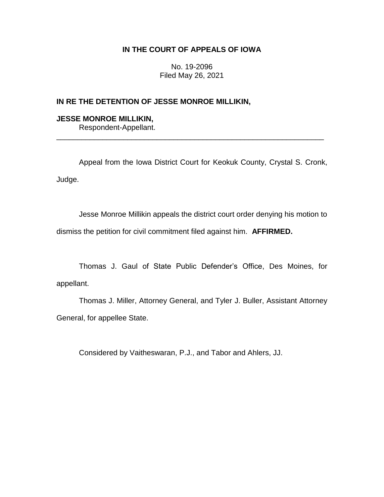# **IN THE COURT OF APPEALS OF IOWA**

No. 19-2096 Filed May 26, 2021

## **IN RE THE DETENTION OF JESSE MONROE MILLIKIN,**

## **JESSE MONROE MILLIKIN,** Respondent-Appellant.

Appeal from the Iowa District Court for Keokuk County, Crystal S. Cronk, Judge.

\_\_\_\_\_\_\_\_\_\_\_\_\_\_\_\_\_\_\_\_\_\_\_\_\_\_\_\_\_\_\_\_\_\_\_\_\_\_\_\_\_\_\_\_\_\_\_\_\_\_\_\_\_\_\_\_\_\_\_\_\_\_\_\_

Jesse Monroe Millikin appeals the district court order denying his motion to dismiss the petition for civil commitment filed against him. **AFFIRMED.**

Thomas J. Gaul of State Public Defender's Office, Des Moines, for appellant.

Thomas J. Miller, Attorney General, and Tyler J. Buller, Assistant Attorney General, for appellee State.

Considered by Vaitheswaran, P.J., and Tabor and Ahlers, JJ.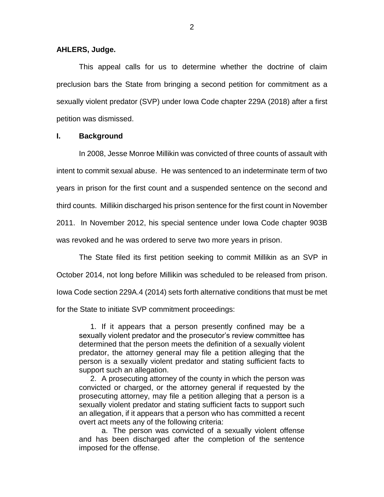**AHLERS, Judge.**

This appeal calls for us to determine whether the doctrine of claim preclusion bars the State from bringing a second petition for commitment as a sexually violent predator (SVP) under Iowa Code chapter 229A (2018) after a first petition was dismissed.

## **I. Background**

In 2008, Jesse Monroe Millikin was convicted of three counts of assault with intent to commit sexual abuse. He was sentenced to an indeterminate term of two years in prison for the first count and a suspended sentence on the second and third counts. Millikin discharged his prison sentence for the first count in November 2011. In November 2012, his special sentence under Iowa Code chapter 903B was revoked and he was ordered to serve two more years in prison.

The State filed its first petition seeking to commit Millikin as an SVP in October 2014, not long before Millikin was scheduled to be released from prison. Iowa Code section 229A.4 (2014) sets forth alternative conditions that must be met for the State to initiate SVP commitment proceedings:

1. If it appears that a person presently confined may be a sexually violent predator and the prosecutor's review committee has determined that the person meets the definition of a sexually violent predator, the attorney general may file a petition alleging that the person is a sexually violent predator and stating sufficient facts to support such an allegation.

2. A prosecuting attorney of the county in which the person was convicted or charged, or the attorney general if requested by the prosecuting attorney, may file a petition alleging that a person is a sexually violent predator and stating sufficient facts to support such an allegation, if it appears that a person who has committed a recent overt act meets any of the following criteria:

a. The person was convicted of a sexually violent offense and has been discharged after the completion of the sentence imposed for the offense.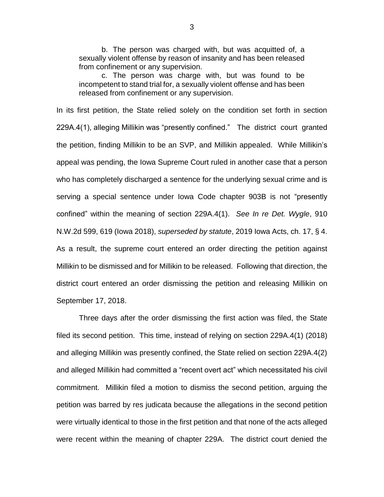b. The person was charged with, but was acquitted of, a sexually violent offense by reason of insanity and has been released from confinement or any supervision.

c. The person was charge with, but was found to be incompetent to stand trial for, a sexually violent offense and has been released from confinement or any supervision.

In its first petition, the State relied solely on the condition set forth in section 229A.4(1), alleging Millikin was "presently confined." The district court granted the petition, finding Millikin to be an SVP, and Millikin appealed. While Millikin's appeal was pending, the Iowa Supreme Court ruled in another case that a person who has completely discharged a sentence for the underlying sexual crime and is serving a special sentence under Iowa Code chapter 903B is not "presently confined" within the meaning of section 229A.4(1). *See In re Det. Wygle*, 910 N.W.2d 599, 619 (Iowa 2018), *superseded by statute*, 2019 Iowa Acts, ch. 17, § 4. As a result, the supreme court entered an order directing the petition against Millikin to be dismissed and for Millikin to be released. Following that direction, the district court entered an order dismissing the petition and releasing Millikin on September 17, 2018.

Three days after the order dismissing the first action was filed, the State filed its second petition. This time, instead of relying on section 229A.4(1) (2018) and alleging Millikin was presently confined, the State relied on section 229A.4(2) and alleged Millikin had committed a "recent overt act" which necessitated his civil commitment. Millikin filed a motion to dismiss the second petition, arguing the petition was barred by res judicata because the allegations in the second petition were virtually identical to those in the first petition and that none of the acts alleged were recent within the meaning of chapter 229A. The district court denied the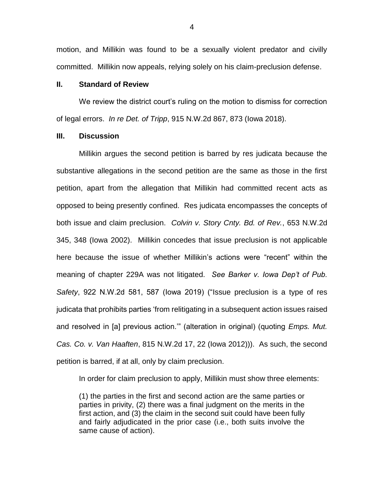motion, and Millikin was found to be a sexually violent predator and civilly committed. Millikin now appeals, relying solely on his claim-preclusion defense.

### **II. Standard of Review**

We review the district court's ruling on the motion to dismiss for correction of legal errors. *In re Det. of Tripp*, 915 N.W.2d 867, 873 (Iowa 2018).

### **III. Discussion**

Millikin argues the second petition is barred by res judicata because the substantive allegations in the second petition are the same as those in the first petition, apart from the allegation that Millikin had committed recent acts as opposed to being presently confined. Res judicata encompasses the concepts of both issue and claim preclusion. *Colvin v. Story Cnty. Bd. of Rev.*, 653 N.W.2d 345, 348 (Iowa 2002). Millikin concedes that issue preclusion is not applicable here because the issue of whether Millikin's actions were "recent" within the meaning of chapter 229A was not litigated. *See Barker v. Iowa Dep't of Pub. Safety*, 922 N.W.2d 581, 587 (Iowa 2019) ("Issue preclusion is a type of res judicata that prohibits parties 'from relitigating in a subsequent action issues raised and resolved in [a] previous action.'" (alteration in original) (quoting *Emps. Mut. Cas. Co. v. Van Haaften*, 815 N.W.2d 17, 22 (Iowa 2012))). As such, the second petition is barred, if at all, only by claim preclusion.

In order for claim preclusion to apply, Millikin must show three elements:

(1) the parties in the first and second action are the same parties or parties in privity, (2) there was a final judgment on the merits in the first action, and (3) the claim in the second suit could have been fully and fairly adjudicated in the prior case (i.e., both suits involve the same cause of action).

4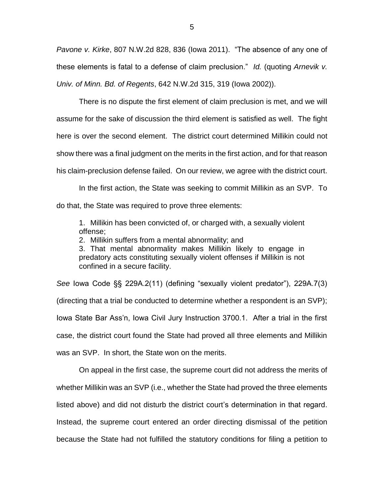*Pavone v. Kirke*, 807 N.W.2d 828, 836 (Iowa 2011). "The absence of any one of these elements is fatal to a defense of claim preclusion." *Id.* (quoting *Arnevik v. Univ. of Minn. Bd. of Regents*, 642 N.W.2d 315, 319 (Iowa 2002)).

There is no dispute the first element of claim preclusion is met, and we will assume for the sake of discussion the third element is satisfied as well. The fight here is over the second element. The district court determined Millikin could not show there was a final judgment on the merits in the first action, and for that reason his claim-preclusion defense failed. On our review, we agree with the district court.

In the first action, the State was seeking to commit Millikin as an SVP. To do that, the State was required to prove three elements:

1. Millikin has been convicted of, or charged with, a sexually violent offense;

2. Millikin suffers from a mental abnormality; and

3. That mental abnormality makes Millikin likely to engage in predatory acts constituting sexually violent offenses if Millikin is not confined in a secure facility.

*See* Iowa Code §§ 229A.2(11) (defining "sexually violent predator"), 229A.7(3) (directing that a trial be conducted to determine whether a respondent is an SVP); Iowa State Bar Ass'n, Iowa Civil Jury Instruction 3700.1. After a trial in the first case, the district court found the State had proved all three elements and Millikin was an SVP. In short, the State won on the merits.

On appeal in the first case, the supreme court did not address the merits of whether Millikin was an SVP (i.e., whether the State had proved the three elements listed above) and did not disturb the district court's determination in that regard. Instead, the supreme court entered an order directing dismissal of the petition because the State had not fulfilled the statutory conditions for filing a petition to